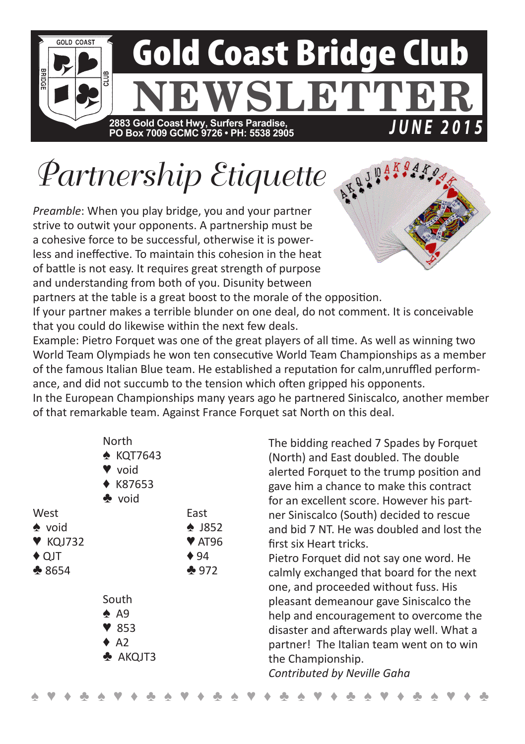

## *Partnership Etiquette*

*Preamble*: When you play bridge, you and your partner strive to outwit your opponents. A partnership must be a cohesive force to be successful, otherwise it is powerless and ineffective. To maintain this cohesion in the heat of battle is not easy. It requires great strength of purpose and understanding from both of you. Disunity between



partners at the table is a great boost to the morale of the opposition.

If your partner makes a terrible blunder on one deal, do not comment. It is conceivable that you could do likewise within the next few deals.

Example: Pietro Forquet was one of the great players of all time. As well as winning two World Team Olympiads he won ten consecutive World Team Championships as a member of the famous Italian Blue team. He established a reputation for calm,unruffled performance, and did not succumb to the tension which often gripped his opponents.

In the European Championships many years ago he partnered Siniscalco, another member of that remarkable team. Against France Forquet sat North on this deal.

| West<br>$\bullet$ void<br>$\blacktriangledown$ KQJ732<br>$\triangle$ QJT<br>$*8654$ | North<br>* KQT7643<br>void<br>♦ K87653<br>$\clubsuit$ void<br>South<br>$\spadesuit$ A9<br>$\blacktriangledown$ 853<br>$\triangle$ A2<br>$\triangle$ AKQJT3 | East<br>$\bullet$ J852<br>$\blacktriangledown$ AT96<br>$\triangle$ 94<br>$-972$ | The bidding reached 7 Spades by Forquet<br>(North) and East doubled. The double<br>alerted Forquet to the trump position and<br>gave him a chance to make this contract<br>for an excellent score. However his part-<br>ner Siniscalco (South) decided to rescue<br>and bid 7 NT. He was doubled and lost the<br>first six Heart tricks.<br>Pietro Forquet did not say one word. He<br>calmly exchanged that board for the next<br>one, and proceeded without fuss. His<br>pleasant demeanour gave Siniscalco the<br>help and encouragement to overcome the<br>disaster and afterwards play well. What a<br>partner! The Italian team went on to win<br>the Championship. |
|-------------------------------------------------------------------------------------|------------------------------------------------------------------------------------------------------------------------------------------------------------|---------------------------------------------------------------------------------|---------------------------------------------------------------------------------------------------------------------------------------------------------------------------------------------------------------------------------------------------------------------------------------------------------------------------------------------------------------------------------------------------------------------------------------------------------------------------------------------------------------------------------------------------------------------------------------------------------------------------------------------------------------------------|
|                                                                                     |                                                                                                                                                            |                                                                                 | Contributed by Neville Gaha                                                                                                                                                                                                                                                                                                                                                                                                                                                                                                                                                                                                                                               |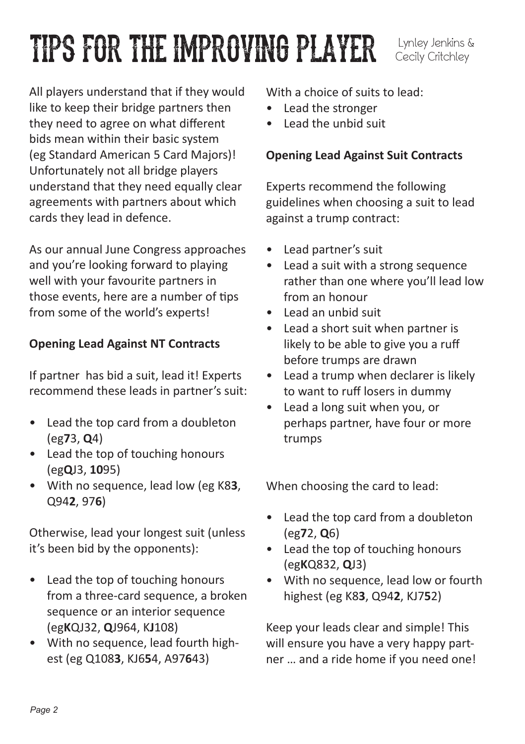# TIPS FOR THE IMPROVING PLAYER Lynley Jenkins &

Cecily Critchley

All players understand that if they would like to keep their bridge partners then they need to agree on what different bids mean within their basic system (eg Standard American 5 Card Majors)! Unfortunately not all bridge players understand that they need equally clear agreements with partners about which cards they lead in defence.

As our annual June Congress approaches and you're looking forward to playing well with your favourite partners in those events, here are a number of tips from some of the world's experts!

### **Opening Lead Against NT Contracts**

If partner has bid a suit, lead it! Experts recommend these leads in partner's suit:

- Lead the top card from a doubleton (eg**7**3, **Q**4)
- Lead the top of touching honours (eg**Q**J3, **10**95)
- With no sequence, lead low (eg K8**3**, Q94**2**, 97**6**)

Otherwise, lead your longest suit (unless it's been bid by the opponents):

- Lead the top of touching honours from a three-card sequence, a broken sequence or an interior sequence (eg**K**QJ32, **Q**J964, K**J**108)
- With no sequence, lead fourth highest (eg Q108**3**, KJ6**5**4, A97**6**43)

With a choice of suits to lead:

- Lead the stronger
- Lead the unbid suit

### **Opening Lead Against Suit Contracts**

Experts recommend the following guidelines when choosing a suit to lead against a trump contract:

- Lead partner's suit
- Lead a suit with a strong sequence rather than one where you'll lead low from an honour
- Lead an unbid suit
- Lead a short suit when partner is likely to be able to give you a ruff before trumps are drawn
- Lead a trump when declarer is likely to want to ruff losers in dummy
- Lead a long suit when you, or perhaps partner, have four or more trumps

When choosing the card to lead:

- Lead the top card from a doubleton (eg**7**2, **Q**6)
- Lead the top of touching honours (eg**K**Q832, **Q**J3)
- With no sequence, lead low or fourth highest (eg K8**3**, Q94**2**, KJ7**5**2)

Keep your leads clear and simple! This will ensure you have a very happy partner … and a ride home if you need one!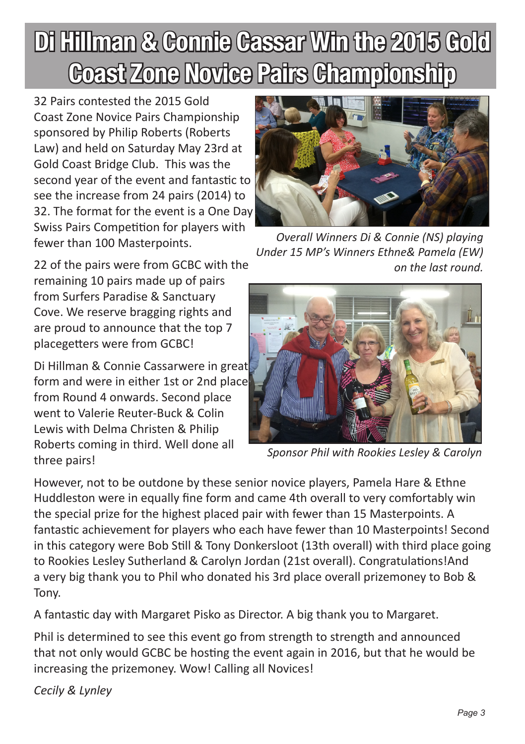## Di Hillman & Connie Cassar Win the 2015 Gold Coast Zone Novice Pairs Championship

32 Pairs contested the 2015 Gold Coast Zone Novice Pairs Championship sponsored by Philip Roberts (Roberts Law) and held on Saturday May 23rd at Gold Coast Bridge Club. This was the second year of the event and fantastic to see the increase from 24 pairs (2014) to 32. The format for the event is a One Day Swiss Pairs Competition for players with fewer than 100 Masterpoints.

22 of the pairs were from GCBC with the remaining 10 pairs made up of pairs from Surfers Paradise & Sanctuary Cove. We reserve bragging rights and are proud to announce that the top 7 placegetters were from GCBC!

Di Hillman & Connie Cassarwere in great form and were in either 1st or 2nd place from Round 4 onwards. Second place went to Valerie Reuter-Buck & Colin Lewis with Delma Christen & Philip Roberts coming in third. Well done all three pairs!



*Overall Winners Di & Connie (NS) playing Under 15 MP's Winners Ethne& Pamela (EW) on the last round.*



*Sponsor Phil with Rookies Lesley & Carolyn* 

However, not to be outdone by these senior novice players, Pamela Hare & Ethne Huddleston were in equally fine form and came 4th overall to very comfortably win the special prize for the highest placed pair with fewer than 15 Masterpoints. A fantastic achievement for players who each have fewer than 10 Masterpoints! Second in this category were Bob Still & Tony Donkersloot (13th overall) with third place going to Rookies Lesley Sutherland & Carolyn Jordan (21st overall). Congratulations!And a very big thank you to Phil who donated his 3rd place overall prizemoney to Bob & Tony.

A fantastic day with Margaret Pisko as Director. A big thank you to Margaret.

Phil is determined to see this event go from strength to strength and announced that not only would GCBC be hosting the event again in 2016, but that he would be increasing the prizemoney. Wow! Calling all Novices!

*Cecily & Lynley*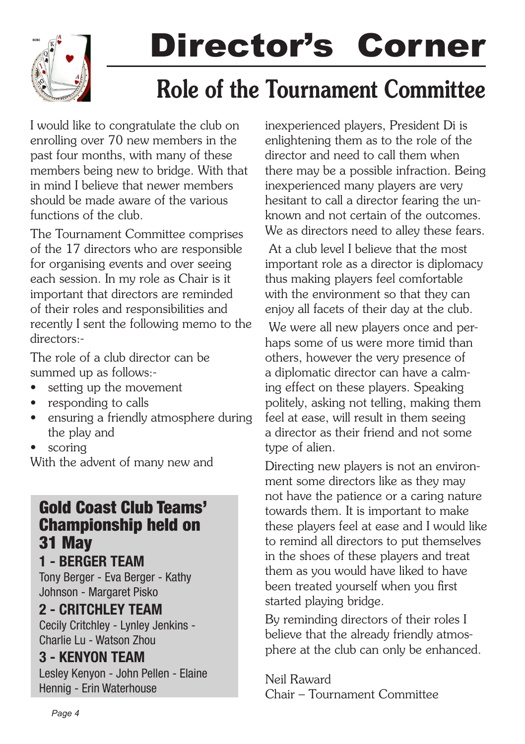

# Director's Corner

### Role of the Tournament Committee

I would like to congratulate the club on enrolling over 70 new members in the past four months, with many of these members being new to bridge. With that in mind I believe that newer members should be made aware of the various functions of the club.

The Tournament Committee comprises of the 17 directors who are responsible for organising events and over seeing each session. In my role as Chair is it important that directors are reminded of their roles and responsibilities and recently I sent the following memo to the directors:-

The role of a club director can be summed up as follows:-

- setting up the movement
- responding to calls
- ensuring a friendly atmosphere during the play and
- scoring

With the advent of many new and

### Gold Coast Club Teams' Championship held on 31 May

1 - BERGER TEAM Tony Berger - Eva Berger - Kathy Johnson - Margaret Pisko

### 2 - CRITCHLEY TEAM

Cecily Critchley - Lynley Jenkins - Charlie Lu - Watson Zhou

### 3 - KENYON TEAM

Lesley Kenyon - John Pellen - Elaine Hennig - Erin Waterhouse

inexperienced players, President Di is enlightening them as to the role of the director and need to call them when there may be a possible infraction. Being inexperienced many players are very hesitant to call a director fearing the unknown and not certain of the outcomes. We as directors need to alley these fears.

 At a club level I believe that the most important role as a director is diplomacy thus making players feel comfortable with the environment so that they can enjoy all facets of their day at the club.

 We were all new players once and perhaps some of us were more timid than others, however the very presence of a diplomatic director can have a calming effect on these players. Speaking politely, asking not telling, making them feel at ease, will result in them seeing a director as their friend and not some type of alien.

Directing new players is not an environment some directors like as they may not have the patience or a caring nature towards them. It is important to make these players feel at ease and I would like to remind all directors to put themselves in the shoes of these players and treat them as you would have liked to have been treated yourself when you first started playing bridge.

By reminding directors of their roles I believe that the already friendly atmosphere at the club can only be enhanced.

Neil Raward Chair – Tournament Committee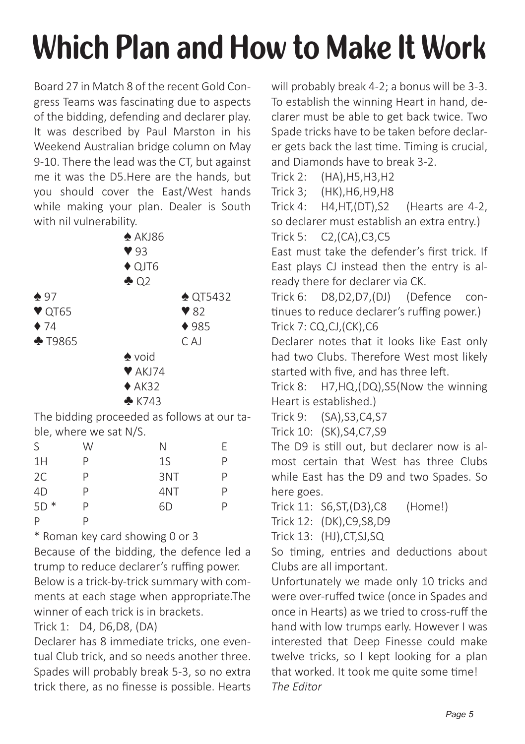## **Which Plan and How to Make It Work**

Board 27 in Match 8 of the recent Gold Congress Teams was fascinating due to aspects of the bidding, defending and declarer play. It was described by Paul Marston in his Weekend Australian bridge column on May 9-10. There the lead was the CT, but against me it was the D5.Here are the hands, but you should cover the East/West hands while making your plan. Dealer is South with nil vulnerability.

|                                         | $\triangle$ AKJ86          |                         |
|-----------------------------------------|----------------------------|-------------------------|
|                                         | 93                         |                         |
|                                         | $\triangle$ QJT6           |                         |
|                                         | $\triangle$ Q <sub>2</sub> |                         |
| $\spadesuit$ 97                         |                            | $\triangle$ QT5432      |
| $\blacktriangledown$ QT65               |                            | $\blacktriangledown$ 82 |
| $\bullet$ 74                            |                            | 4985                    |
| $\clubsuit$ T9865                       |                            | $C$ A                   |
|                                         | $\bullet$ void             |                         |
|                                         | $\blacktriangledown$ AKJ74 |                         |
|                                         | $*$ AK32                   |                         |
|                                         | $\triangle$ K743           |                         |
| The hidding proceeded as follows at our |                            |                         |

The bidding proceeded as follows at our table, where we sat N/S.

| S     | W | Ν   | F |
|-------|---|-----|---|
| 1H    | P | 1S  | P |
| 2C    | P | 3NT | P |
| 4D    | P | 4NT | P |
| $5D*$ | P | 6D  | P |
| P     | D |     |   |

\* Roman key card showing 0 or 3

Because of the bidding, the defence led a trump to reduce declarer's ruffing power. Below is a trick-by-trick summary with comments at each stage when appropriate.The winner of each trick is in brackets.

Trick 1: D4, D6,D8, (DA)

Declarer has 8 immediate tricks, one eventual Club trick, and so needs another three. Spades will probably break 5-3, so no extra trick there, as no finesse is possible. Hearts will probably break 4-2; a bonus will be 3-3. To establish the winning Heart in hand, declarer must be able to get back twice. Two Spade tricks have to be taken before declarer gets back the last time. Timing is crucial, and Diamonds have to break 3-2.

Trick 2: (HA),H5,H3,H2 Trick 3; (HK),H6,H9,H8 Trick 4: H4,HT,(DT),S2 (Hearts are 4-2, so declarer must establish an extra entry.) Trick 5: C2,(CA),C3,C5 East must take the defender's first trick. If East plays CJ instead then the entry is already there for declarer via CK. Trick 6: D8,D2,D7,(DJ) (Defence continues to reduce declarer's ruffing power.) Trick 7: CQ,CJ,(CK),C6 Declarer notes that it looks like East only

had two Clubs. Therefore West most likely started with five, and has three left.

Trick 8: H7,HQ,(DQ),S5(Now the winning Heart is established.)

Trick 9: (SA),S3,C4,S7

Trick 10: (SK),S4,C7,S9

The D9 is still out, but declarer now is almost certain that West has three Clubs while East has the D9 and two Spades. So here goes.

Trick 11: S6,ST,(D3),C8 (Home!)

Trick 12: (DK),C9,S8,D9

Trick 13: (HJ),CT,SJ,SQ

So timing, entries and deductions about Clubs are all important.

Unfortunately we made only 10 tricks and were over-ruffed twice (once in Spades and once in Hearts) as we tried to cross-ruff the hand with low trumps early. However I was interested that Deep Finesse could make twelve tricks, so I kept looking for a plan that worked. It took me quite some time! *The Editor*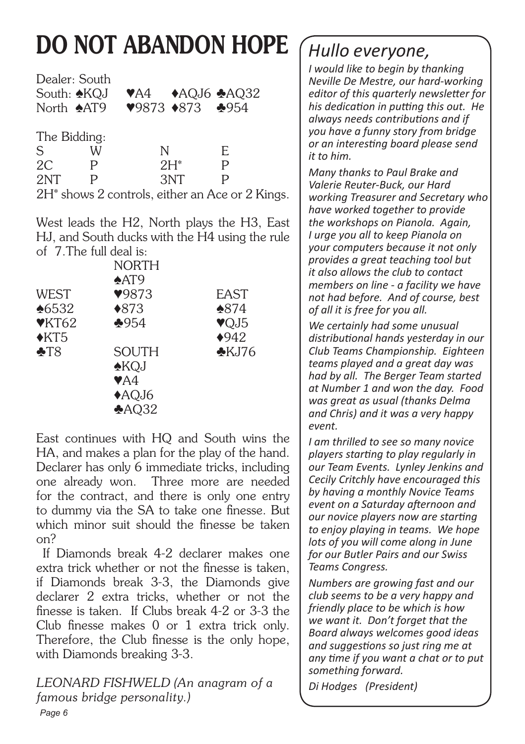## DO NOT ABANDON HOPE

|     | Dealer: South                                               |                                                                                |     |    |  |
|-----|-------------------------------------------------------------|--------------------------------------------------------------------------------|-----|----|--|
|     | South: ♠KQJ                                                 | $\blacktriangleright$ A4 $\blacktriangleright$ AQJ6 $\blacktriangleright$ AQ32 |     |    |  |
|     | North AAT9 <b>9873 +873 4954</b>                            |                                                                                |     |    |  |
|     | The Bidding:                                                |                                                                                |     |    |  |
|     |                                                             |                                                                                |     |    |  |
| S   | W                                                           | N                                                                              |     | E. |  |
| 2C  |                                                             | $2H^*$                                                                         |     | P  |  |
| 2NT |                                                             |                                                                                | 3NT | P  |  |
|     | 2H <sup>*</sup> shows 2 controls, either an Ace or 2 Kings. |                                                                                |     |    |  |

West leads the H2, North plays the H3, East HJ, and South ducks with the H4 using the rule of 7.The full deal is:

| NORTH                   |                 |
|-------------------------|-----------------|
| $*AT9$                  |                 |
| 9873                    | <b>FAST</b>     |
| $*873$                  | $*874$          |
| $*954$                  | VQJ5            |
|                         | $*942$          |
| <b>SOUTH</b>            | $\bigstar$ KJ76 |
| <b>AKQJ</b>             |                 |
| $\blacktriangledown$ A4 |                 |
| AQJ6                    |                 |
| $A$ <sub>Q32</sub>      |                 |
|                         |                 |

East continues with HQ and South wins the HA, and makes a plan for the play of the hand. Declarer has only 6 immediate tricks, including one already won. Three more are needed for the contract, and there is only one entry to dummy via the SA to take one finesse. But which minor suit should the finesse be taken on?

 If Diamonds break 4-2 declarer makes one extra trick whether or not the finesse is taken, if Diamonds break 3-3, the Diamonds give declarer 2 extra tricks, whether or not the finesse is taken. If Clubs break 4-2 or 3-3 the Club finesse makes 0 or 1 extra trick only. Therefore, the Club finesse is the only hope, with Diamonds breaking 3-3.

*Page 6 LEONARD FISHWELD (An anagram of a famous bridge personality.)*

*Hullo everyone,*

*I would like to begin by thanking Neville De Mestre, our hard-working editor of this quarterly newsletter for his dedication in putting this out. He always needs contributions and if you have a funny story from bridge or an interesting board please send it to him.* 

*Many thanks to Paul Brake and Valerie Reuter-Buck, our Hard working Treasurer and Secretary who have worked together to provide the workshops on Pianola. Again, I urge you all to keep Pianola on your computers because it not only provides a great teaching tool but it also allows the club to contact members on line - a facility we have not had before. And of course, best of all it is free for you all.*

*We certainly had some unusual distributional hands yesterday in our Club Teams Championship. Eighteen teams played and a great day was had by all. The Berger Team started at Number 1 and won the day. Food was great as usual (thanks Delma and Chris) and it was a very happy event.*

*I am thrilled to see so many novice players starting to play regularly in our Team Events. Lynley Jenkins and Cecily Critchly have encouraged this by having a monthly Novice Teams event on a Saturday afternoon and our novice players now are starting to enjoy playing in teams. We hope lots of you will come along in June for our Butler Pairs and our Swiss Teams Congress.*

*Numbers are growing fast and our club seems to be a very happy and friendly place to be which is how we want it. Don't forget that the Board always welcomes good ideas and suggestions so just ring me at any time if you want a chat or to put something forward.*

*Di Hodges (President)*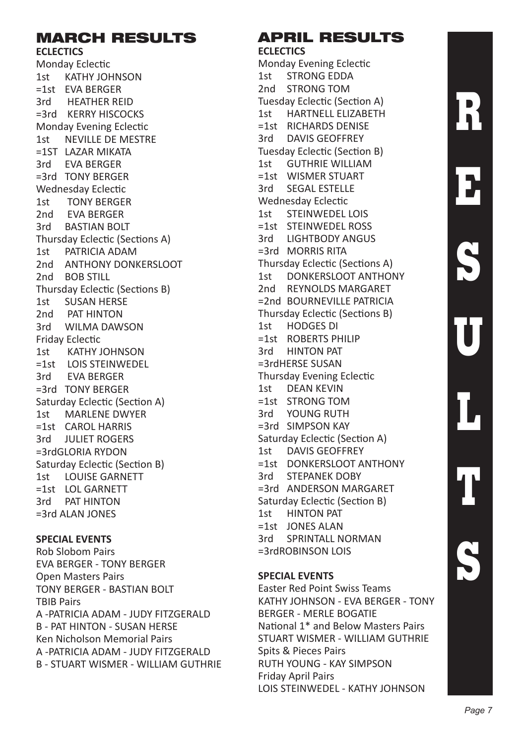### MARCH RESULTS

### **ECLECTICS**

Monday Eclectic 1st KATHY JOHNSON =1st EVA BERGER 3rd HEATHER REID =3rd KERRY HISCOCKS Monday Evening Eclectic 1st NEVILLE DE MESTRE =1ST LAZAR MIKATA 3rd EVA BERGER =3rd TONY BERGER Wednesday Eclectic<br>1st TONY BERGEL TONY BERGER 2nd EVA BERGER 3rd BASTIAN BOLT Thursday Eclectic (Sections A) 1st PATRICIA ADAM 2nd ANTHONY DONKERSLOOT 2nd BOB STILL Thursday Eclectic (Sections B) 1st SUSAN HERSE 2nd PAT HINTON 3rd WILMA DAWSON Friday Eclectic<br>1st KATHY J KATHY JOHNSON =1st LOIS STEINWEDEL 3rd EVA BERGER =3rd TONY BERGER Saturday Eclectic (Section A) 1st MARLENE DWYER =1st CAROL HARRIS 3rd **JULIET ROGERS** =3rdGLORIA RYDON Saturday Eclectic (Section B) 1st LOUISE GARNETT =1st LOL GARNETT 3rd PAT HINTON =3rd ALAN JONES

### **SPECIAL EVENTS**

Rob Slobom Pairs EVA BERGER - TONY BERGER Open Masters Pairs TONY BERGER - BASTIAN BOLT TBIB Pairs A -PATRICIA ADAM - JUDY FITZGERALD B - PAT HINTON - SUSAN HERSE Ken Nicholson Memorial Pairs A -PATRICIA ADAM - JUDY FITZGERALD B - STUART WISMER - WILLIAM GUTHRIE

#### APRIL RESULTS **ECLECTICS**

Monday Evening Eclectic<br>1st STRONG EDDA STRONG EDDA 2nd STRONG TOM Tuesday Eclectic (Section A)<br>1st HARTNELL ELIZABETH HARTNELL ELIZABETH =1st RICHARDS DENISE 3rd DAVIS GEOFFREY Tuesday Eclectic (Section B) 1st GUTHRIE WILLIAM =1st WISMER STUART 3rd SEGAL ESTELLE Wednesday Eclectic 1st STEINWEDEL LOIS =1st STEINWEDEL ROSS 3rd LIGHTBODY ANGUS =3rd MORRIS RITA Thursday Eclectic (Sections A) 1st DONKERSLOOT ANTHONY 2nd REYNOLDS MARGARET =2nd BOURNEVILLE PATRICIA Thursday Eclectic (Sections B) 1st HODGES DI =1st ROBERTS PHILIP<br>3rd HINTON PAT **HINTON PAT** =3rdHERSE SUSAN Thursday Evening Eclectic 1st DEAN KEVIN =1st STRONG TOM 3rd YOUNG RUTH =3rd SIMPSON KAY Saturday Eclectic (Section A) 1st DAVIS GEOFFREY =1st DONKERSLOOT ANTHONY 3rd STEPANEK DOBY =3rd ANDERSON MARGARET Saturday Eclectic (Section B) 1st HINTON PAT =1st JONES ALAN 3rd SPRINTALL NORMAN =3rdROBINSON LOIS

#### **SPECIAL EVENTS**

Easter Red Point Swiss Teams KATHY JOHNSON - EVA BERGER - TONY BERGER - MERLE BOGATIE National 1\* and Below Masters Pairs STUART WISMER - WILLIAM GUTHRIE Spits & Pieces Pairs RUTH YOUNG - KAY SIMPSON Friday April Pairs LOIS STEINWEDEL - KATHY JOHNSON